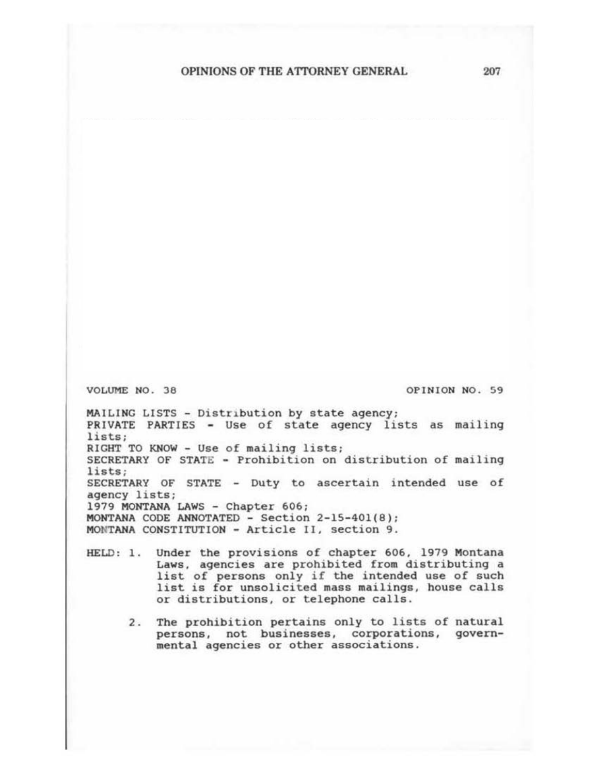VOLUME NO. 36

OPINION NO. 59

MAILING LISTS - Distribution by state agency; PRIVATE PARTIES - Use of state agency lists as mailing lists; RICBT TO KNOW - Use of mailing lists; SECRETARY OF STATE - Prohibition on distribution of mailing lists; SECRETARY OF STATE - Duty to ascertain intended use of agency lists; 1979 MONTANA LAWS - Chapter 606; MONTANA CODE ANNOTATED- Section 2-15-401(8); MONTANA CONSTITUTION - Article 11, section 9.

- HELD: 1. Under the provisions of chapter 606, 1979 Montana Laws, agencies are prohibited from distributing a list of persons only if the intended use of such list is for unsolicited mass mailings, house calls or distributions, or telephone calls.
	- 2. The prohibition pertains only to lists of natural persons, not businesses, corporations, governmental agencies or other associations.

207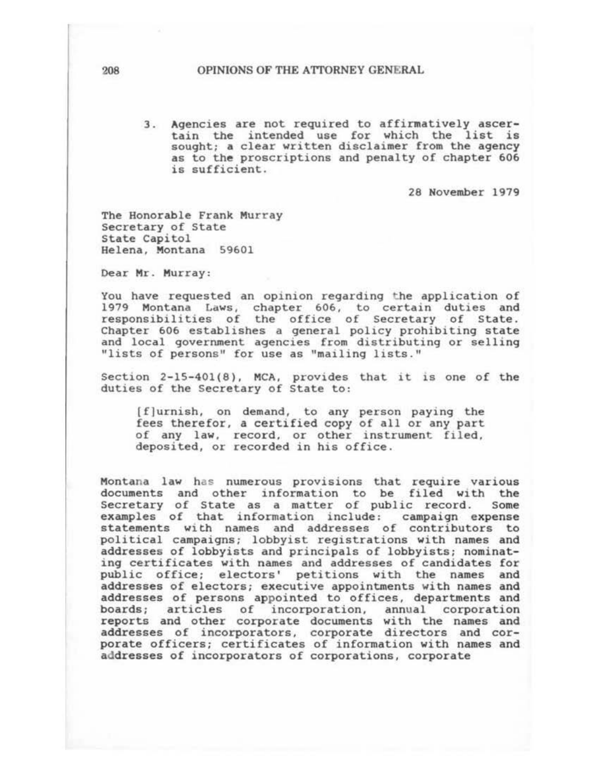3. Agencies are not required to affirmatively ascertain the intended use for which the list is sought; a clear written disclaimer from the agency as to the proscriptions and penalty of chapter 606 is sufficient.

28 November 1979

The Honorable Frank Murray Secretary of State State Capitol Helena. Montana 59601

Dear Mr. Murray:

You have requested an opinion regarding the application of 1979 Montana Laws, chapter 606, to certain duties and responsibilities of the office of Secretary of State. Chapter 606 establishes a general policy prohibiting state and local government agencies from distributing or selling "lists of persons" for use as "mailing lists."

Section  $2-15-401(8)$ , MCA, provides that it is one of the duties of the secretary of state to:

( f] urn ish, on demand, to any person paying the fees therefor, a certified copy of all or any part of any law, record, or other instrument filed, deposited, or recorded in his office.

Montana law has numerous provisions that require various documents and other information to be filed with the Secretary of State as a matter of public record. Some examples of that information include: campaign expense statements with names and addresses of contributors to political campaigns; lobbyist registrations with names and addresses of lobbyists and principals of lobbyists; nominating certificates with names and addresses of candidates for public office; electors' petitions with the names and addresses of electors; executive appointments with names and addresses of persons appointed to offices, departments and boards; articles of incorporation. annual corporation reports and other corporate documents with the names and addresses of incorporators, corporate directors and corporate officers; certificates of information with names and addresses of incorporators of corporations. corporate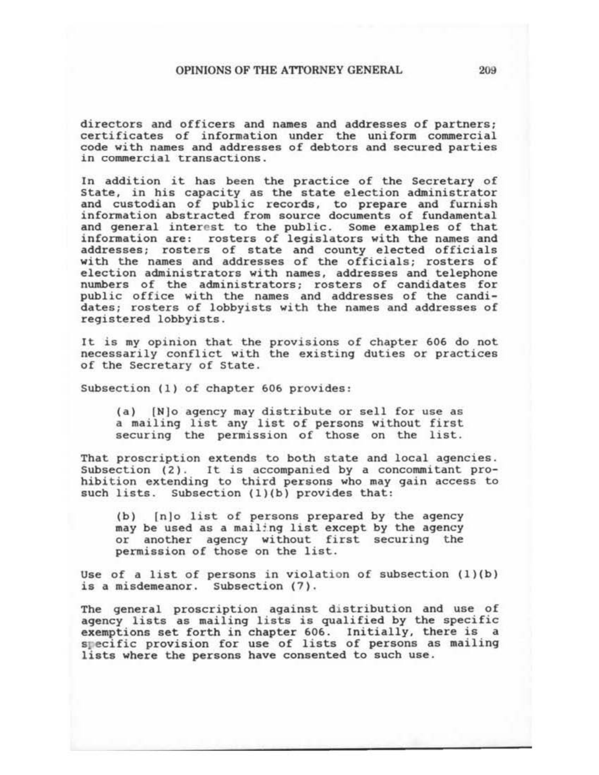directors and officers and names and addresses of partners; certificates of information under the uniform commercial code with names and addresses of debtors and secured parties in commercial transactions.

In addition it has been the practice of the Secretary of State, in his capacity as the state election administrator and custodian of public records, to prepare and furnish information abstracted from source documents of fundamental and general interest to the public. Some examples of that information are: rosters of legislators with the names and addresses; rosters of state and county elected officials with the names and addresses of the officials; rosters of election administrators with names, addresses and telephone numbers of the administrators; rosters of candidates for public office with the names and addresses of the candidates; rosters of lobbyists with the names and addresses of registered lobbyists.

It is my opinion that the provisions of chapter 606 do not necessarily conflict with the existing duties or practices of the Secretary of State.

Subsection (1) of chapter 606 provides:

(a) [N]o agency may distribute or sell for use as a mailing list any list of persons without first securing the permission of those on the list.

That proscription extends to both state and local agencies. Subsection (2). It is accompanied by a concommitant prohibition extending to third persons who may gain access to such lists. Subsection (1)(b) provides that:

(b) (n)o list of persons prepared by the agency may be used as a mailing list except by the agency or another agency without first securing the permission of those on the list.

Use of a list of persons in violation of subsection (1)(b) is a misdemeanor. Subsection (7).

The general proscription against distribution and use of agency lists as mailing lists is qualified by the specific exemptions set forth in chapter 606. Initially, there is a specific provision for use of lists of persons as mailing lists where the persons have consented to such use.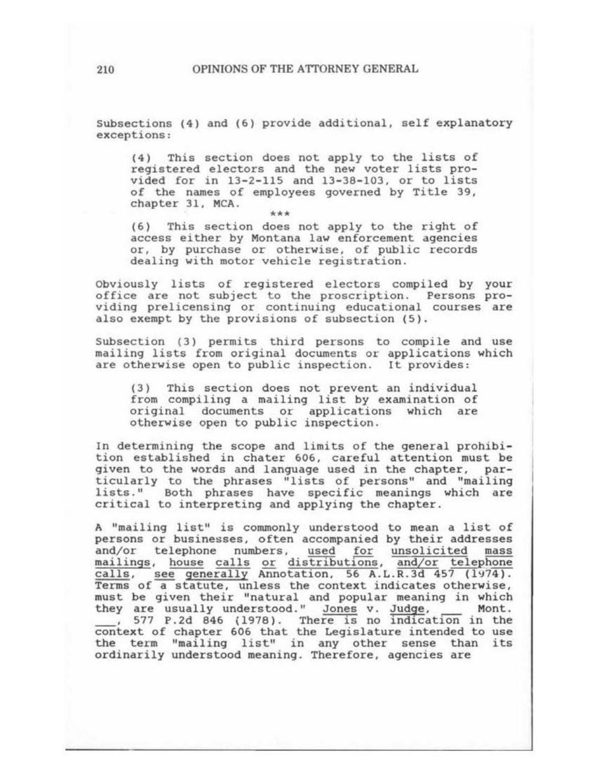Subsections (4) and (6) provide additional, self explanatory exceptions:

(4) This section does not apply to the lists of registered electors and the new voter lists provided for in 13-2-115 and 13-38-103, or to lists of the names of employees governed by Title 39, chapter 31, MCA.

\*\*\*<br>
(6) This section does not apply to the right of access either by Montana law enforcement agencies or, by purchase or otherwise, of public records dealing with motor vehicle registration.

Obviously lists of registered electors compiled by your office are not subject to the proscription. Persons providing prelicensing or continuing educational courses are also exempt by the provisions of subsection (5).

Subsection (3) permits third persons to compile and use mailing lists from original documents or applications which are otherwise open to public inspection. It provides:

( 3) This section does not prevent an individual from compiling a mailing list by examination of original documents or applications which are otherwise open to public inspection.

In determining the scope and limits of the general prohibition established in chater 606, careful attention must be given to the words and language used in the chapter, particularly to the phrases "lists of persons" and "mailing lists." Both phrases have specific meanings which are critical to interpreting and applying the chapter.

A "mailing list" is commonly understood to mean a list of persons or businesses, often accompanied by their addresses and/or telephone numbers, used for unsolicited mass mailings, house calls or distributions, and/or telephone calls, see generally Annotation, 56 A.L.R.3d 457 (1974).  $Terms$  of a statute, unless the context indicates otherwise, must be given their "natural and popular meaning in which they are usually understood." Jones v. Judge, Mont.<br>
, 577 P.2d 846 (1978). There is no indication in the context of chapter 606 that the Legislature intended to use the term "mailing list" in any other sense than its ordinarily understood meaning. Therefore, agencies are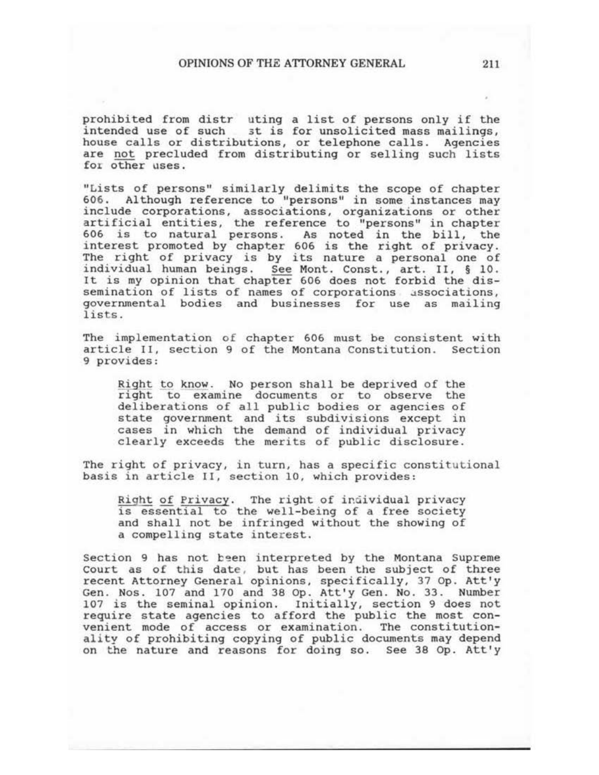prohibited from distr uting a list of persons only if the intended use of such 3t is for unsolicited mass mailings, house calls or distributions, or telephone calls. Agencies are not precluded from distributing or selling such lists fot other uses.

"Lists of persons" similarly delimits the scope of chapter 606. Although reference to "persons" in some instances may include corporations, associations, organizations or other artificial entities, the reference to "persons" in chapter 606 is to natural persons. As noted in the bill, the interest promoted by chapter 606 is the right of privacy. The right of privacy is by its nature a personal one of individual human beings. See Mont. Const., art. II, § 10. It is my opinion that chapter 606 does not forbid the dis-<br>semination of lists of names of corporations associations, governmental bodies and businesses for use as mailing lists.

The implementation of chapter 606 must be consistent with article II, section 9 of the Montana Constitution. Section 9 provides:

Right to know. No person shall be deprived of the right to examine documents or to observe the deliberations of all public bodies or agencies of state government and its subdivisions except in cases in which the demand of individual privacy clearly exceeds the merits of public disclosure.

The right of privacy, in turn, has a specific constitutional basis in article II, section 10, which provides:

Right of Privacy. The right of individual privacy is essential to the well-being of a free society and shall not be infringed without the showing of a compelling state interest.

Section 9 has not been interpreted by the Montana Supreme Court as of this date, but has been the subject of three recent Attorney General opinions, specifically, 37 Op. Att'y Gen. Nos. 107 and 170 and 38 Op. Att'y Gen. No. 33. Number 107 is the seminal opinion. Initially, section 9 does not require state agencies to afford the public the most convenient mode of access or examination. The constitutionality of prohibiting copying of public documents may depend on the nature and reasons for doing so. See 39 Op. Att'y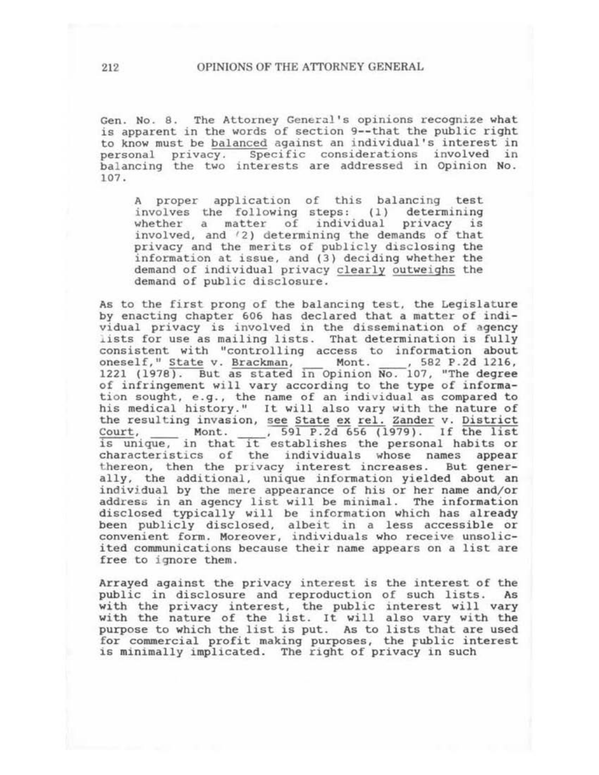Gen. No. 8. The Attorney General's opinions recognize what is apparent in the words of section 9-- that the public right to know must be balanced against an individual's interest in personal privacy. Specific considerations involved *in*  balancing the two interests are addressed in Opinion No. 107.

A proper application of this balancing test<br>involves the following steps: (1) determining involves the following steps: (1) determining<br>whether a matter of individual privacy is whether a matter of individual privacy involved, and  $(2)$  determining the demands of that privacy and the merits of publicly disclosing the information at issue, and (3) deciding whether the demand of individual privacy clearly outweighs the demand of public disclosure.

As to the first prong of the balancing test, the Legislature by enacting chapter 606 has declared that a matter of individual privacy is involved in the dissemination of agency lists for use as mailing lists. That determination is fully consistent with "controlling access to information about<br>oneself," State v. Brackman, Mont. , 582 P.2d 1216, oneself," State v. Brackman,  $1221$   $(1978)$ . But as stated in Opinion No. 107, "The degree of infringement will vary according to the type of informaof infringement will vary according to the type of informa-<br>tion sought, e.g., the name of an individual as compared to tion sought, e.g., the name of an individual as compared to<br>his medical history." It will also vary with the nature of the resulting invasion, see State ex rel. Zander v. District Court, Mont. 591 P.2d 656 (1979). If the list  $\frac{1}{15}$  unique, in that  $\frac{1}{15}$  establishes the personal habits or characteristics of the individuals whose names appear<br>thereon, then the privacy interest increases. But generally, the additional, unique information yielded about an individual by the mere appearance of his or her name and/or address in an agency list will be minimal. The information disclosed typically will be information which has already been publicly disclosed, albeit in a less accessible or convenient form. Moreover, individuals who receive unsolicited communications because their name appears on a list are free to ignore them.

Arrayed against the privacy interest is the interest of the public in disclosure and reproduction of such lists. As with the privacy interest, the public interest will vary with the nature of the list. It will also vary with the purpose to which the list is put. As to lists that are used for commercial profit making purposes, the public interest is minimally implicated. The right of privacy in such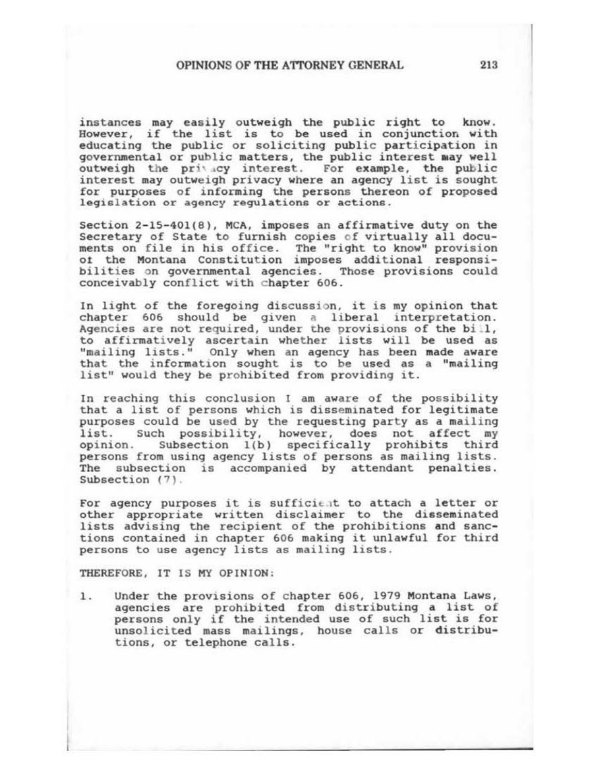instances may easily outweigh the public right to know. However, if the list is to be used in conjunction with educating the public or soliciting public participation in governmental or public matters, the public interest may well outweigh the privacy interest. For example, the public interest may outweigh privacy where an agency list is sought for purposes of informing the persons thereon of proposed legislation or agency regulations or actions.

Section 2-15-401(8), MCA, imposes an affirmative duty on the Secretary of State to furnish copies of virtually all documents on file in his office. The "right to know" provision ot the Montana Constitution imposes additional responsibilities on governmental agencies. Those provisions could conceivably conflict with chapter 606.

In light of the foregoing discussion, it is my opinion that chapter 606 should be given a liberal interpretation. Agencies are not required, under the provisions of the bill, ngencies are not required, under the provisions of the bill,<br>to affirmatively ascertain whether lists will be used as "mailing lists." Only when an agency has been made aware that the information sought is to be used as a "mailing" list" would they be prohibited from providing it.

In reaching this conclusion I am aware of the possibility that a list of persons which is disseminated for legitimate purposes could be used by the requesting party as a mailing list. Such possibility, however, does not affect my opinion. Subsection 1(b) specifically prohibits third persons from using agency lists of persons as mailing lists. The subsection is accompanied by attendant penalties. Subsection (7).

For agency purposes it is sufficient to attach a letter or other appropriate written disclaimer to the disseminated lists advising the recipient of the prohibitions and sanctions contained in chapter 606 making it unlawful for third persons to use agency lists as mailing lists.

THEREFORE, IT IS MY OPINION :

1. Under the provisions of chapter 606, 1979 Montana Laws, agencies are prohibited from distributing a list of persons only if the intended use of such list is for unsol icited mass mailings, house calls or distributions, or telephone calls.